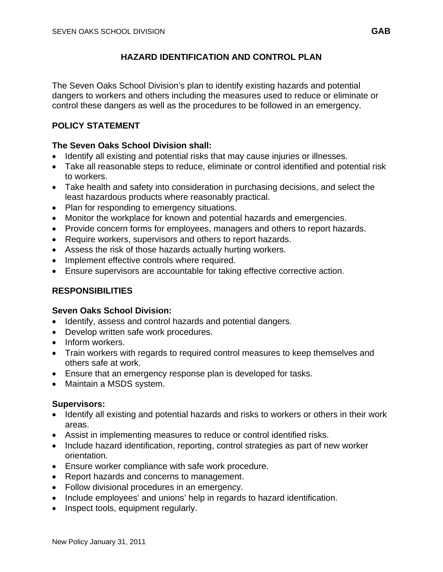## **HAZARD IDENTIFICATION AND CONTROL PLAN**

The Seven Oaks School Division's plan to identify existing hazards and potential dangers to workers and others including the measures used to reduce or eliminate or control these dangers as well as the procedures to be followed in an emergency.

## **POLICY STATEMENT**

### **The Seven Oaks School Division shall:**

- Identify all existing and potential risks that may cause injuries or illnesses.
- Take all reasonable steps to reduce, eliminate or control identified and potential risk to workers.
- Take health and safety into consideration in purchasing decisions, and select the least hazardous products where reasonably practical.
- Plan for responding to emergency situations.
- Monitor the workplace for known and potential hazards and emergencies.
- Provide concern forms for employees, managers and others to report hazards.
- Require workers, supervisors and others to report hazards.
- Assess the risk of those hazards actually hurting workers.
- Implement effective controls where required.
- Ensure supervisors are accountable for taking effective corrective action.

# **RESPONSIBILITIES**

### **Seven Oaks School Division:**

- Identify, assess and control hazards and potential dangers.
- Develop written safe work procedures.
- Inform workers.
- Train workers with regards to required control measures to keep themselves and others safe at work.
- Ensure that an emergency response plan is developed for tasks.
- Maintain a MSDS system.

### **Supervisors:**

- Identify all existing and potential hazards and risks to workers or others in their work areas.
- Assist in implementing measures to reduce or control identified risks.
- Include hazard identification, reporting, control strategies as part of new worker orientation.
- Ensure worker compliance with safe work procedure.
- Report hazards and concerns to management.
- Follow divisional procedures in an emergency.
- Include employees' and unions' help in regards to hazard identification.
- Inspect tools, equipment regularly.